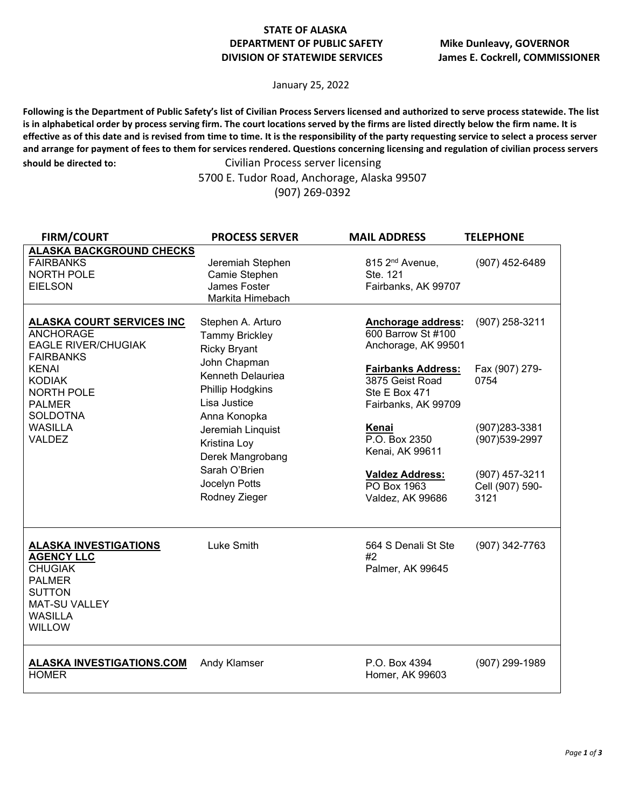## **STATE OF ALASKA DEPARTMENT OF PUBLIC SAFETY Mike Dunleavy, GOVERNOR**

January 25, 2022

**Following is the Department of Public Safety's list of Civilian Process Servers licensed and authorized to serve process statewide. The list is in alphabetical order by process serving firm. The court locations served by the firms are listed directly below the firm name. It is effective as of this date and is revised from time to time. It is the responsibility of the party requesting service to select a process server and arrange for payment of fees to them for services rendered. Questions concerning licensing and regulation of civilian process servers should be directed to:** Civilian Process server licensing

5700 E. Tudor Road, Anchorage, Alaska 99507 (907) 269-0392

| <b>FIRM/COURT</b>                                                                                                                                                                                                                   | <b>PROCESS SERVER</b>                                                                                                                                                                                                                                                  | <b>MAIL ADDRESS</b>                                                                                                                                                                                         | <b>TELEPHONE</b>                                                             |
|-------------------------------------------------------------------------------------------------------------------------------------------------------------------------------------------------------------------------------------|------------------------------------------------------------------------------------------------------------------------------------------------------------------------------------------------------------------------------------------------------------------------|-------------------------------------------------------------------------------------------------------------------------------------------------------------------------------------------------------------|------------------------------------------------------------------------------|
| <b>ALASKA BACKGROUND CHECKS</b><br><b>FAIRBANKS</b><br><b>NORTH POLE</b><br><b>EIELSON</b>                                                                                                                                          | Jeremiah Stephen<br>Camie Stephen<br>James Foster<br>Markita Himebach                                                                                                                                                                                                  | 815 2 <sup>nd</sup> Avenue,<br>Ste. 121<br>Fairbanks, AK 99707                                                                                                                                              | (907) 452-6489                                                               |
| <u>ALASKA COURT SERVICES INC</u><br><b>ANCHORAGE</b><br><b>EAGLE RIVER/CHUGIAK</b><br><b>FAIRBANKS</b><br><b>KENAI</b><br><b>KODIAK</b><br><b>NORTH POLE</b><br><b>PALMER</b><br><b>SOLDOTNA</b><br><b>WASILLA</b><br><b>VALDEZ</b> | Stephen A. Arturo<br><b>Tammy Brickley</b><br><b>Ricky Bryant</b><br>John Chapman<br>Kenneth Delauriea<br>Phillip Hodgkins<br>Lisa Justice<br>Anna Konopka<br>Jeremiah Linquist<br>Kristina Loy<br>Derek Mangrobang<br>Sarah O'Brien<br>Jocelyn Potts<br>Rodney Zieger | <b>Anchorage address:</b><br>600 Barrow St #100<br>Anchorage, AK 99501<br><b>Fairbanks Address:</b><br>3875 Geist Road<br>Ste E Box 471<br>Fairbanks, AK 99709<br>Kenai<br>P.O. Box 2350<br>Kenai, AK 99611 | (907) 258-3211<br>Fax (907) 279-<br>0754<br>(907) 283-3381<br>(907) 539-2997 |
|                                                                                                                                                                                                                                     |                                                                                                                                                                                                                                                                        | <b>Valdez Address:</b><br>PO Box 1963<br>Valdez, AK 99686                                                                                                                                                   | (907) 457-3211<br>Cell (907) 590-<br>3121                                    |
| <b>ALASKA INVESTIGATIONS</b><br><b>AGENCY LLC</b><br><b>CHUGIAK</b><br><b>PALMER</b><br><b>SUTTON</b><br><b>MAT-SU VALLEY</b><br><b>WASILLA</b><br><b>WILLOW</b>                                                                    | Luke Smith                                                                                                                                                                                                                                                             | 564 S Denali St Ste<br>#2<br>Palmer, AK 99645                                                                                                                                                               | (907) 342-7763                                                               |
| <b>ALASKA INVESTIGATIONS.COM</b><br><b>HOMER</b>                                                                                                                                                                                    | Andy Klamser                                                                                                                                                                                                                                                           | P.O. Box 4394<br>Homer, AK 99603                                                                                                                                                                            | (907) 299-1989                                                               |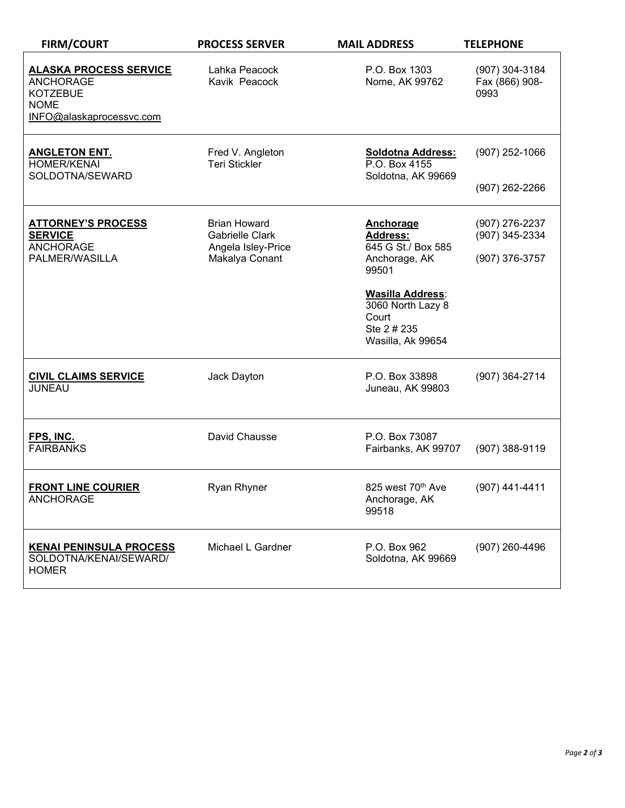| <b>FIRM/COURT</b>                                                                                               | <b>PROCESS SERVER</b>                                                                 | <b>MAIL ADDRESS</b>                                                                                                                                                | <b>TELEPHONE</b>                                   |
|-----------------------------------------------------------------------------------------------------------------|---------------------------------------------------------------------------------------|--------------------------------------------------------------------------------------------------------------------------------------------------------------------|----------------------------------------------------|
| <b>ALASKA PROCESS SERVICE</b><br><b>ANCHORAGE</b><br><b>KOTZEBUE</b><br><b>NOME</b><br>INFO@alaskaprocessvc.com | Lahka Peacock<br>Kavik Peacock                                                        | P.O. Box 1303<br>Nome, AK 99762                                                                                                                                    | (907) 304-3184<br>Fax (866) 908-<br>0993           |
| <b>ANGLETON ENT.</b><br><b>HOMER/KENAI</b><br>SOLDOTNA/SEWARD                                                   | Fred V. Angleton<br><b>Teri Stickler</b>                                              | <b>Soldotna Address:</b><br>P.O. Box 4155<br>Soldotna, AK 99669                                                                                                    | $(907)$ 252-1066<br>$(907)$ 262-2266               |
| <b>ATTORNEY'S PROCESS</b><br><b>SERVICE</b><br><b>ANCHORAGE</b><br>PALMER/WASILLA                               | <b>Brian Howard</b><br><b>Gabrielle Clark</b><br>Angela Isley-Price<br>Makalya Conant | Anchorage<br><b>Address:</b><br>645 G St./ Box 585<br>Anchorage, AK<br>99501<br>Wasilla Address:<br>3060 North Lazy 8<br>Court<br>Ste 2 # 235<br>Wasilla, Ak 99654 | (907) 276-2237<br>(907) 345-2334<br>(907) 376-3757 |
| <b>CIVIL CLAIMS SERVICE</b><br><b>JUNEAU</b>                                                                    | Jack Dayton                                                                           | P.O. Box 33898<br>Juneau, AK 99803                                                                                                                                 | (907) 364-2714                                     |
| FPS, INC.<br><b>FAIRBANKS</b>                                                                                   | David Chausse                                                                         | P.O. Box 73087<br>Fairbanks, AK 99707                                                                                                                              | (907) 388-9119                                     |
| <b>FRONT LINE COURIER</b><br><b>ANCHORAGE</b>                                                                   | <b>Ryan Rhyner</b>                                                                    | 825 west 70th Ave<br>Anchorage, AK<br>99518                                                                                                                        | (907) 441-4411                                     |
| <b>KENAI PENINSULA PROCESS</b><br>SOLDOTNA/KENAI/SEWARD/<br><b>HOMER</b>                                        | Michael L Gardner                                                                     | P.O. Box 962<br>Soldotna, AK 99669                                                                                                                                 | (907) 260-4496                                     |